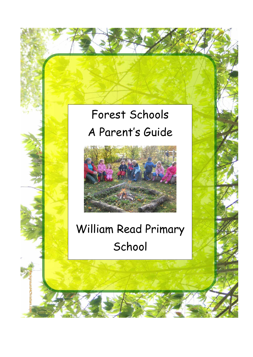# Forest Schools A Parent's Guide



# William Read Primary School

und4Christ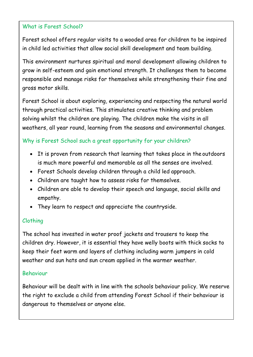### What is Forest School?

Forest school offers regular visits to a wooded area for children to be inspired in child led activities that allow social skill development and team building.

This environment nurtures spiritual and moral development allowing children to grow in self-esteem and gain emotional strength. It challenges them to become responsible and manage risks for themselves while strengthening their fine and gross motor skills.

Forest School is about exploring, experiencing and respecting the natural world through practical activities. This stimulates creative thinking and problem solving whilst the children are playing. The children make the visits in all weathers, all year round, learning from the seasons and environmental changes.

## Why is Forest School such a great opportunity for your children?

- It is proven from research that learning that takes place in the outdoors is much more powerful and memorable as all the senses are involved.
- Forest Schools develop children through a child led approach.
- Children are taught how to assess risks for themselves.
- Children are able to develop their speech and language, social skills and empathy.
- They learn to respect and appreciate the countryside.

## Clothing

The school has invested in water proof jackets and trousers to keep the children dry. However, it is essential they have welly boots with thick socks to keep their feet warm and layers of clothing including warm jumpers in cold weather and sun hats and sun cream applied in the warmer weather.

#### Behaviour

Behaviour will be dealt with in line with the schools behaviour policy. We reserve the right to exclude a child from attending Forest School if their behaviour is dangerous to themselves or anyone else.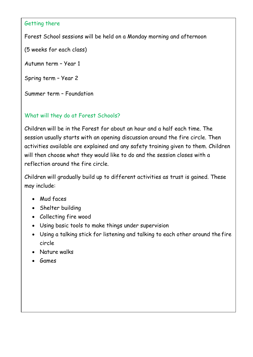#### Getting there

Forest School sessions will be held on a Monday morning and afternoon

(5 weeks for each class)

Autumn term – Year 1

Spring term – Year 2

Summer term – Foundation

# What will they do at Forest Schools?

Children will be in the Forest for about an hour and a half each time. The session usually starts with an opening discussion around the fire circle. Then activities available are explained and any safety training given to them. Children will then choose what they would like to do and the session closes with a reflection around the fire circle.

Children will gradually build up to different activities as trust is gained. These may include:

- Mud faces
- Shelter building
- Collecting fire wood
- Using basic tools to make things under supervision
- Using a talking stick for listening and talking to each other around the fire circle
- Nature walks
- Games